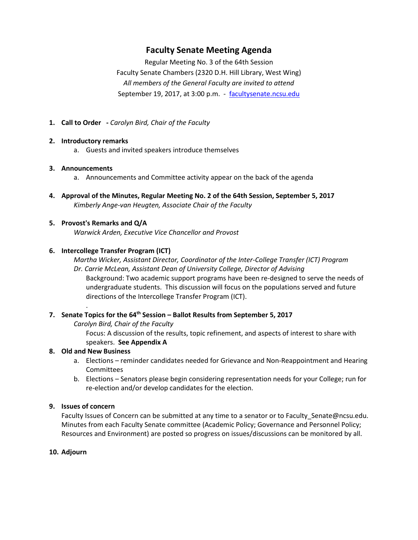# **Faculty Senate Meeting Agenda**

Regular Meeting No. 3 of the 64th Session Faculty Senate Chambers (2320 D.H. Hill Library, West Wing) *All members of the General Faculty are invited to attend* September 19, 2017, at 3:00 p.m. - [facultysenate.ncsu.edu](https://facultysenate.ncsu.edu/)

**1. Call to Order -** *Carolyn Bird, Chair of the Faculty*

#### **2. Introductory remarks**

a. Guests and invited speakers introduce themselves

#### **3. Announcements**

- a. Announcements and Committee activity appear on the back of the agenda
- **4. Approval of the Minutes, Regular Meeting No. 2 of the 64th Session, September 5, 2017** *Kimberly Ange-van Heugten, Associate Chair of the Faculty*
- **5. Provost's Remarks and Q/A** *Warwick Arden, Executive Vice Chancellor and Provost*

### **6. Intercollege Transfer Program (ICT)**

*Martha Wicker, Assistant Director, Coordinator of the Inter-College Transfer (ICT) Program Dr. Carrie McLean, Assistant Dean of University College, Director of Advising*

Background: Two academic support programs have been re-designed to serve the needs of undergraduate students. This discussion will focus on the populations served and future directions of the Intercollege Transfer Program (ICT).

### **7. Senate Topics for the 64th Session – Ballot Results from September 5, 2017**

*Carolyn Bird, Chair of the Faculty*

Focus: A discussion of the results, topic refinement, and aspects of interest to share with speakers. **See Appendix A**

### **8. Old and New Business**

.

- a. Elections reminder candidates needed for Grievance and Non-Reappointment and Hearing Committees
- b. Elections Senators please begin considering representation needs for your College; run for re-election and/or develop candidates for the election.

#### **9. Issues of concern**

Faculty Issues of Concern can be submitted at any time to a senator or to Faculty Senate@ncsu.edu. Minutes from each Faculty Senate committee (Academic Policy; Governance and Personnel Policy; Resources and Environment) are posted so progress on issues/discussions can be monitored by all.

### **10. Adjourn**